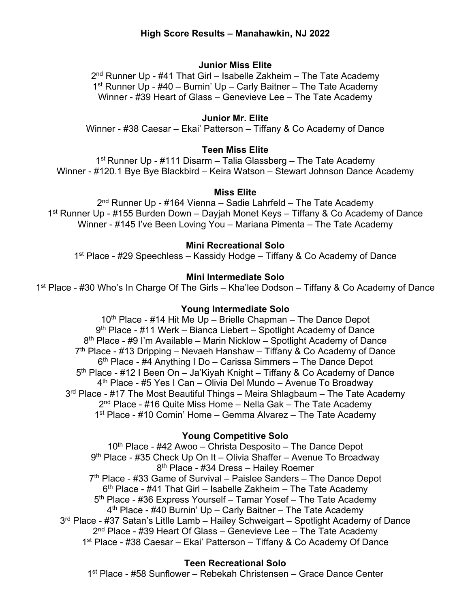# **High Score Results – Manahawkin, NJ 2022**

### **Junior Miss Elite**

 $2<sup>nd</sup>$  Runner Up - #41 That Girl – Isabelle Zakheim – The Tate Academy 1<sup>st</sup> Runner Up -  $\#40$  – Burnin' Up – Carly Baitner – The Tate Academy Winner - #39 Heart of Glass – Genevieve Lee – The Tate Academy

## **Junior Mr. Elite**

Winner - #38 Caesar – Ekai' Patterson – Tiffany & Co Academy of Dance

### **Teen Miss Elite**

1st Runner Up - #111 Disarm – Talia Glassberg – The Tate Academy Winner - #120.1 Bye Bye Blackbird – Keira Watson – Stewart Johnson Dance Academy

#### **Miss Elite**

 $2<sup>nd</sup>$  Runner Up - #164 Vienna – Sadie Lahrfeld – The Tate Academy 1st Runner Up - #155 Burden Down – Dayjah Monet Keys – Tiffany & Co Academy of Dance Winner - #145 I've Been Loving You – Mariana Pimenta – The Tate Academy

## **Mini Recreational Solo**

1<sup>st</sup> Place - #29 Speechless – Kassidy Hodge – Tiffany & Co Academy of Dance

### **Mini Intermediate Solo**

1<sup>st</sup> Place - #30 Who's In Charge Of The Girls – Kha'lee Dodson – Tiffany & Co Academy of Dance

### **Young Intermediate Solo**

10<sup>th</sup> Place - #14 Hit Me Up – Brielle Chapman – The Dance Depot 9th Place - #11 Werk – Bianca Liebert – Spotlight Academy of Dance 8<sup>th</sup> Place - #9 I'm Available – Marin Nicklow – Spotlight Academy of Dance 7th Place - #13 Dripping – Nevaeh Hanshaw – Tiffany & Co Academy of Dance 6th Place - #4 Anything I Do – Carissa Simmers – The Dance Depot 5<sup>th</sup> Place - #12 I Been On – Ja'Kiyah Knight – Tiffany & Co Academy of Dance 4th Place - #5 Yes I Can – Olivia Del Mundo – Avenue To Broadway  $3<sup>rd</sup>$  Place - #17 The Most Beautiful Things – Meira Shlagbaum – The Tate Academy  $2<sup>nd</sup>$  Place - #16 Quite Miss Home – Nella Gak – The Tate Academy 1st Place - #10 Comin' Home – Gemma Alvarez – The Tate Academy

#### **Young Competitive Solo**

10<sup>th</sup> Place - #42 Awoo – Christa Desposito – The Dance Depot 9<sup>th</sup> Place - #35 Check Up On It – Olivia Shaffer – Avenue To Broadway 8th Place - #34 Dress – Hailey Roemer  $7<sup>th</sup>$  Place - #33 Game of Survival – Paislee Sanders – The Dance Depot  $6<sup>th</sup>$  Place - #41 That Girl – Isabelle Zakheim – The Tate Academy 5<sup>th</sup> Place - #36 Express Yourself – Tamar Yosef – The Tate Academy  $4<sup>th</sup>$  Place - #40 Burnin' Up – Carly Baitner – The Tate Academy 3rd Place - #37 Satan's Litlle Lamb – Hailey Schweigart – Spotlight Academy of Dance  $2<sup>nd</sup>$  Place - #39 Heart Of Glass – Genevieve Lee – The Tate Academy 1st Place - #38 Caesar – Ekai' Patterson – Tiffany & Co Academy Of Dance

## **Teen Recreational Solo**

1st Place - #58 Sunflower – Rebekah Christensen – Grace Dance Center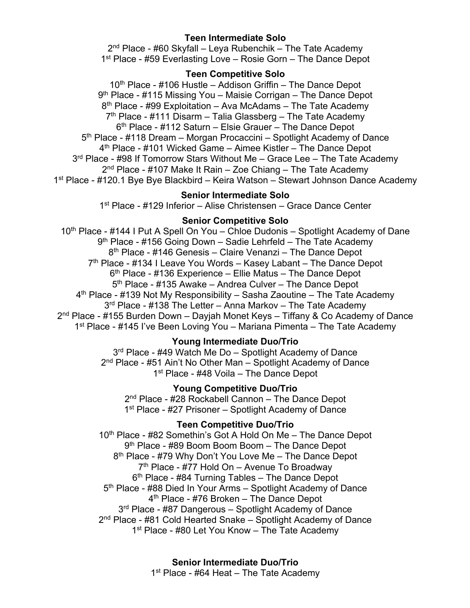## **Teen Intermediate Solo**

2<sup>nd</sup> Place - #60 Skyfall – Leya Rubenchik – The Tate Academy 1<sup>st</sup> Place - #59 Everlasting Love – Rosie Gorn – The Dance Depot

## **Teen Competitive Solo**

10<sup>th</sup> Place - #106 Hustle – Addison Griffin – The Dance Depot 9<sup>th</sup> Place - #115 Missing You – Maisie Corrigan – The Dance Depot  $8<sup>th</sup>$  Place - #99 Exploitation – Ava McAdams – The Tate Academy  $7<sup>th</sup>$  Place - #111 Disarm – Talia Glassberg – The Tate Academy 6th Place - #112 Saturn – Elsie Grauer – The Dance Depot 5th Place - #118 Dream – Morgan Procaccini – Spotlight Academy of Dance 4th Place - #101 Wicked Game – Aimee Kistler – The Dance Depot 3<sup>rd</sup> Place - #98 If Tomorrow Stars Without Me – Grace Lee – The Tate Academy  $2<sup>nd</sup>$  Place - #107 Make It Rain – Zoe Chiang – The Tate Academy 1st Place - #120.1 Bye Bye Blackbird – Keira Watson – Stewart Johnson Dance Academy

## **Senior Intermediate Solo**

1st Place - #129 Inferior – Alise Christensen – Grace Dance Center

# **Senior Competitive Solo**

10<sup>th</sup> Place - #144 I Put A Spell On You – Chloe Dudonis – Spotlight Academy of Dane 9<sup>th</sup> Place - #156 Going Down - Sadie Lehrfeld - The Tate Academy 8<sup>th</sup> Place - #146 Genesis – Claire Venanzi – The Dance Depot 7<sup>th</sup> Place - #134 I Leave You Words – Kasey Labant – The Dance Depot  $6<sup>th</sup>$  Place - #136 Experience – Ellie Matus – The Dance Depot 5<sup>th</sup> Place - #135 Awake – Andrea Culver – The Dance Depot  $4<sup>th</sup>$  Place - #139 Not My Responsibility – Sasha Zaoutine – The Tate Academy  $3<sup>rd</sup>$  Place - #138 The Letter – Anna Markov – The Tate Academy 2<sup>nd</sup> Place - #155 Burden Down – Dayjah Monet Keys – Tiffany & Co Academy of Dance 1<sup>st</sup> Place - #145 I've Been Loving You – Mariana Pimenta – The Tate Academy

## **Young Intermediate Duo/Trio**

3<sup>rd</sup> Place - #49 Watch Me Do - Spotlight Academy of Dance 2<sup>nd</sup> Place - #51 Ain't No Other Man - Spotlight Academy of Dance 1<sup>st</sup> Place - #48 Voila – The Dance Depot

# **Young Competitive Duo/Trio**

2<sup>nd</sup> Place - #28 Rockabell Cannon - The Dance Depot 1<sup>st</sup> Place - #27 Prisoner – Spotlight Academy of Dance

# **Teen Competitive Duo/Trio**

10<sup>th</sup> Place - #82 Somethin's Got A Hold On Me - The Dance Depot 9<sup>th</sup> Place - #89 Boom Boom Boom - The Dance Depot 8<sup>th</sup> Place - #79 Why Don't You Love Me - The Dance Depot 7th Place - #77 Hold On – Avenue To Broadway  $6<sup>th</sup>$  Place - #84 Turning Tables – The Dance Depot 5<sup>th</sup> Place - #88 Died In Your Arms – Spotlight Academy of Dance 4th Place - #76 Broken – The Dance Depot 3<sup>rd</sup> Place - #87 Dangerous – Spotlight Academy of Dance 2<sup>nd</sup> Place - #81 Cold Hearted Snake - Spotlight Academy of Dance 1<sup>st</sup> Place - #80 Let You Know – The Tate Academy

> **Senior Intermediate Duo/Trio**  $1<sup>st</sup>$  Place - #64 Heat – The Tate Academy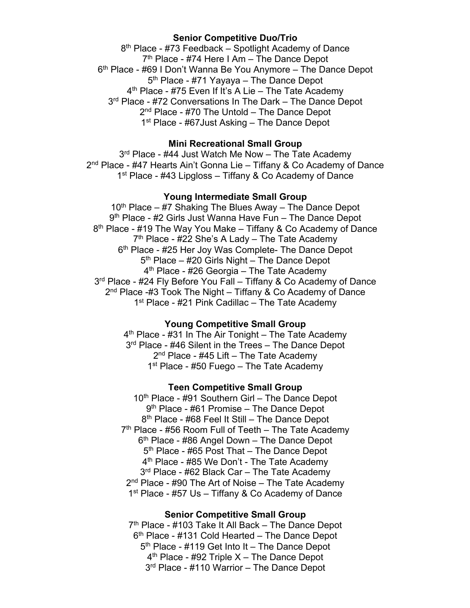### **Senior Competitive Duo/Trio**

8<sup>th</sup> Place - #73 Feedback – Spotlight Academy of Dance  $7<sup>th</sup>$  Place - #74 Here I Am – The Dance Depot 6th Place - #69 I Don't Wanna Be You Anymore – The Dance Depot 5th Place - #71 Yayaya – The Dance Depot  $4<sup>th</sup>$  Place - #75 Even If It's A Lie – The Tate Academy 3<sup>rd</sup> Place - #72 Conversations In The Dark – The Dance Depot 2<sup>nd</sup> Place - #70 The Untold – The Dance Depot 1<sup>st</sup> Place - #67 Just Asking – The Dance Depot

## **Mini Recreational Small Group**

 $3<sup>rd</sup>$  Place - #44 Just Watch Me Now – The Tate Academy 2<sup>nd</sup> Place - #47 Hearts Ain't Gonna Lie – Tiffany & Co Academy of Dance 1<sup>st</sup> Place - #43 Lipgloss – Tiffany & Co Academy of Dance

### **Young Intermediate Small Group**

 $10<sup>th</sup>$  Place – #7 Shaking The Blues Away – The Dance Depot 9<sup>th</sup> Place - #2 Girls Just Wanna Have Fun – The Dance Depot 8<sup>th</sup> Place - #19 The Way You Make – Tiffany & Co Academy of Dance  $7<sup>th</sup>$  Place - #22 She's A Lady – The Tate Academy 6<sup>th</sup> Place - #25 Her Joy Was Complete- The Dance Depot 5th Place – #20 Girls Night – The Dance Depot 4<sup>th</sup> Place - #26 Georgia – The Tate Academy 3<sup>rd</sup> Place - #24 Fly Before You Fall – Tiffany & Co Academy of Dance  $2<sup>nd</sup>$  Place -#3 Took The Night – Tiffany & Co Academy of Dance  $1<sup>st</sup>$  Place - #21 Pink Cadillac – The Tate Academy

#### **Young Competitive Small Group**

 $4<sup>th</sup>$  Place - #31 In The Air Tonight – The Tate Academy 3<sup>rd</sup> Place - #46 Silent in the Trees – The Dance Depot  $2<sup>nd</sup>$  Place - #45 Lift – The Tate Academy  $1<sup>st</sup>$  Place - #50 Fuego – The Tate Academy

#### **Teen Competitive Small Group**

10<sup>th</sup> Place - #91 Southern Girl – The Dance Depot 9<sup>th</sup> Place - #61 Promise – The Dance Depot 8th Place - #68 Feel It Still – The Dance Depot  $7<sup>th</sup>$  Place - #56 Room Full of Teeth – The Tate Academy 6th Place - #86 Angel Down – The Dance Depot 5<sup>th</sup> Place - #65 Post That – The Dance Depot 4<sup>th</sup> Place - #85 We Don't - The Tate Academy 3<sup>rd</sup> Place - #62 Black Car – The Tate Academy 2<sup>nd</sup> Place - #90 The Art of Noise – The Tate Academy 1<sup>st</sup> Place - #57 Us – Tiffany & Co Academy of Dance

### **Senior Competitive Small Group**

 $7<sup>th</sup>$  Place - #103 Take It All Back – The Dance Depot  $6<sup>th</sup>$  Place - #131 Cold Hearted – The Dance Depot 5<sup>th</sup> Place - #119 Get Into It – The Dance Depot  $4<sup>th</sup>$  Place - #92 Triple X – The Dance Depot 3<sup>rd</sup> Place - #110 Warrior – The Dance Depot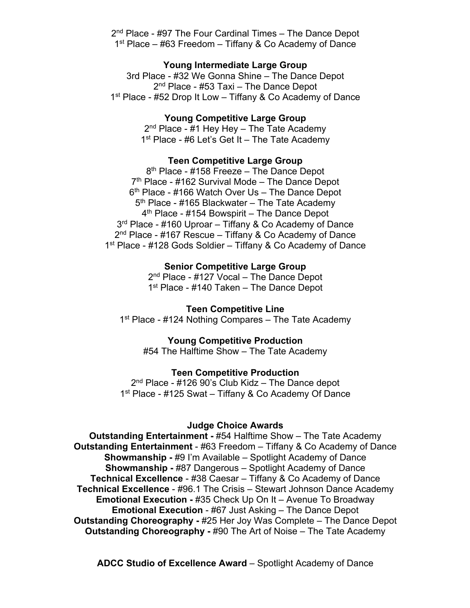2<sup>nd</sup> Place - #97 The Four Cardinal Times – The Dance Depot  $1<sup>st</sup>$  Place – #63 Freedom – Tiffany & Co Academy of Dance

### **Young Intermediate Large Group**

3rd Place - #32 We Gonna Shine – The Dance Depot 2<sup>nd</sup> Place - #53 Taxi – The Dance Depot 1<sup>st</sup> Place - #52 Drop It Low – Tiffany & Co Academy of Dance

## **Young Competitive Large Group**

 $2<sup>nd</sup>$  Place - #1 Hey Hey – The Tate Academy 1<sup>st</sup> Place - #6 Let's Get It - The Tate Academy

## **Teen Competitive Large Group**

8<sup>th</sup> Place - #158 Freeze – The Dance Depot  $7<sup>th</sup>$  Place - #162 Survival Mode – The Dance Depot  $6<sup>th</sup>$  Place - #166 Watch Over Us – The Dance Depot 5<sup>th</sup> Place - #165 Blackwater – The Tate Academy  $4<sup>th</sup>$  Place - #154 Bowspirit – The Dance Depot 3<sup>rd</sup> Place - #160 Uproar – Tiffany & Co Academy of Dance  $2<sup>nd</sup>$  Place - #167 Rescue – Tiffany & Co Academy of Dance 1st Place - #128 Gods Soldier – Tiffany & Co Academy of Dance

> **Senior Competitive Large Group** 2<sup>nd</sup> Place - #127 Vocal – The Dance Depot 1<sup>st</sup> Place - #140 Taken – The Dance Depot

**Teen Competitive Line** 1<sup>st</sup> Place - #124 Nothing Compares – The Tate Academy

#### **Young Competitive Production**

#54 The Halftime Show – The Tate Academy

### **Teen Competitive Production**

 $2<sup>nd</sup>$  Place - #126 90's Club Kidz – The Dance depot 1<sup>st</sup> Place - #125 Swat – Tiffany & Co Academy Of Dance

#### **Judge Choice Awards**

**Outstanding Entertainment -** #54 Halftime Show – The Tate Academy **Outstanding Entertainment** - #63 Freedom – Tiffany & Co Academy of Dance **Showmanship -** #9 I'm Available – Spotlight Academy of Dance **Showmanship -** #87 Dangerous – Spotlight Academy of Dance **Technical Excellence** - #38 Caesar – Tiffany & Co Academy of Dance **Technical Excellence** - #96.1 The Crisis – Stewart Johnson Dance Academy **Emotional Execution -** #35 Check Up On It – Avenue To Broadway **Emotional Execution** - #67 Just Asking – The Dance Depot **Outstanding Choreography -** #25 Her Joy Was Complete – The Dance Depot **Outstanding Choreography -** #90 The Art of Noise – The Tate Academy

**ADCC Studio of Excellence Award** – Spotlight Academy of Dance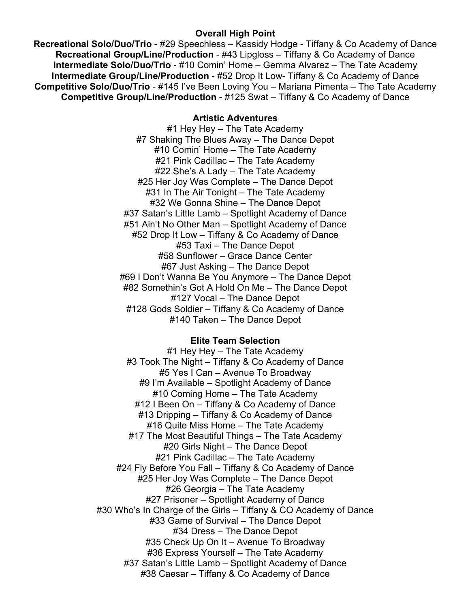## **Overall High Point**

**Recreational Solo/Duo/Trio** - #29 Speechless – Kassidy Hodge - Tiffany & Co Academy of Dance **Recreational Group/Line/Production** - #43 Lipgloss – Tiffany & Co Academy of Dance **Intermediate Solo/Duo/Trio** - #10 Comin' Home – Gemma Alvarez – The Tate Academy **Intermediate Group/Line/Production - #52 Drop It Low- Tiffany & Co Academy of Dance Competitive Solo/Duo/Trio** - #145 I've Been Loving You – Mariana Pimenta – The Tate Academy **Competitive Group/Line/Production** - #125 Swat – Tiffany & Co Academy of Dance

## **Artistic Adventures**

#1 Hey Hey – The Tate Academy #7 Shaking The Blues Away – The Dance Depot #10 Comin' Home – The Tate Academy #21 Pink Cadillac – The Tate Academy #22 She's A Lady – The Tate Academy #25 Her Joy Was Complete – The Dance Depot #31 In The Air Tonight – The Tate Academy #32 We Gonna Shine – The Dance Depot #37 Satan's Little Lamb – Spotlight Academy of Dance #51 Ain't No Other Man – Spotlight Academy of Dance #52 Drop It Low – Tiffany & Co Academy of Dance #53 Taxi – The Dance Depot #58 Sunflower – Grace Dance Center #67 Just Asking – The Dance Depot #69 I Don't Wanna Be You Anymore – The Dance Depot #82 Somethin's Got A Hold On Me – The Dance Depot #127 Vocal – The Dance Depot #128 Gods Soldier – Tiffany & Co Academy of Dance #140 Taken – The Dance Depot

# **Elite Team Selection**

#1 Hey Hey – The Tate Academy #3 Took The Night – Tiffany & Co Academy of Dance #5 Yes I Can – Avenue To Broadway #9 I'm Available – Spotlight Academy of Dance #10 Coming Home – The Tate Academy #12 I Been On – Tiffany & Co Academy of Dance #13 Dripping – Tiffany & Co Academy of Dance #16 Quite Miss Home – The Tate Academy #17 The Most Beautiful Things – The Tate Academy #20 Girls Night – The Dance Depot #21 Pink Cadillac – The Tate Academy #24 Fly Before You Fall – Tiffany & Co Academy of Dance #25 Her Joy Was Complete – The Dance Depot #26 Georgia – The Tate Academy #27 Prisoner – Spotlight Academy of Dance #30 Who's In Charge of the Girls – Tiffany & CO Academy of Dance #33 Game of Survival – The Dance Depot #34 Dress – The Dance Depot #35 Check Up On It – Avenue To Broadway #36 Express Yourself – The Tate Academy #37 Satan's Little Lamb – Spotlight Academy of Dance #38 Caesar – Tiffany & Co Academy of Dance